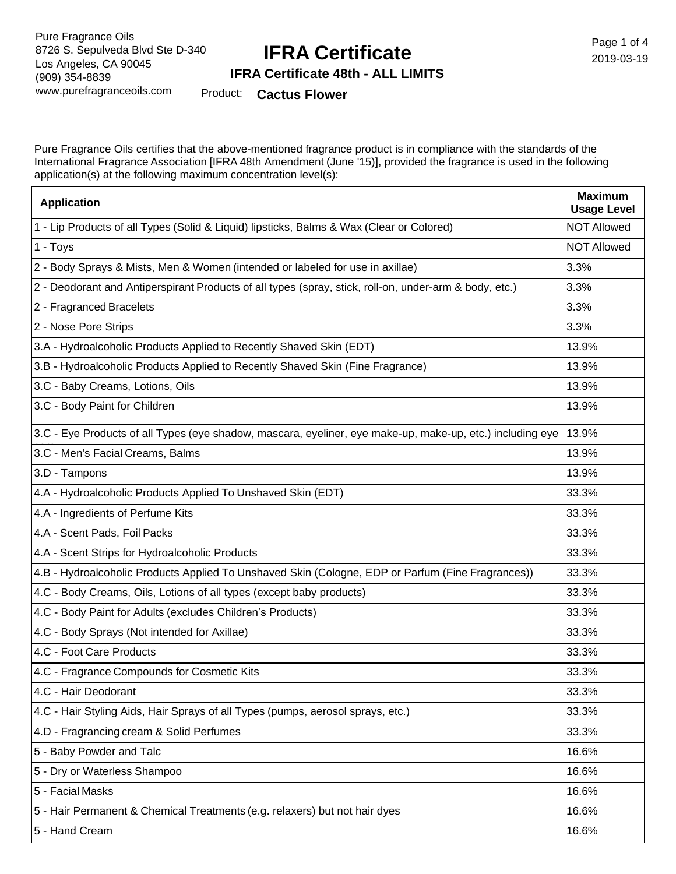## **IFRA Certificate**

Page 1 of 4 2019-03-19

#### **IFRA Certificate 48th - ALL LIMITS**

Product: **Cactus Flower**

Pure Fragrance Oils certifies that the above-mentioned fragrance product is in compliance with the standards of the International Fragrance Association [IFRA 48th Amendment (June '15)], provided the fragrance is used in the following application(s) at the following maximum concentration level(s):

| <b>Application</b>                                                                                        | <b>Maximum</b><br><b>Usage Level</b> |
|-----------------------------------------------------------------------------------------------------------|--------------------------------------|
| 1 - Lip Products of all Types (Solid & Liquid) lipsticks, Balms & Wax (Clear or Colored)                  | <b>NOT Allowed</b>                   |
| 1 - Toys                                                                                                  | <b>NOT Allowed</b>                   |
| 2 - Body Sprays & Mists, Men & Women (intended or labeled for use in axillae)                             | 3.3%                                 |
| 2 - Deodorant and Antiperspirant Products of all types (spray, stick, roll-on, under-arm & body, etc.)    | 3.3%                                 |
| 2 - Fragranced Bracelets                                                                                  | 3.3%                                 |
| 2 - Nose Pore Strips                                                                                      | 3.3%                                 |
| 3.A - Hydroalcoholic Products Applied to Recently Shaved Skin (EDT)                                       | 13.9%                                |
| 3.B - Hydroalcoholic Products Applied to Recently Shaved Skin (Fine Fragrance)                            | 13.9%                                |
| 3.C - Baby Creams, Lotions, Oils                                                                          | 13.9%                                |
| 3.C - Body Paint for Children                                                                             | 13.9%                                |
| 3.C - Eye Products of all Types (eye shadow, mascara, eyeliner, eye make-up, make-up, etc.) including eye | 13.9%                                |
| 3.C - Men's Facial Creams, Balms                                                                          | 13.9%                                |
| 3.D - Tampons                                                                                             | 13.9%                                |
| 4.A - Hydroalcoholic Products Applied To Unshaved Skin (EDT)                                              | 33.3%                                |
| 4.A - Ingredients of Perfume Kits                                                                         | 33.3%                                |
| 4.A - Scent Pads, Foil Packs                                                                              | 33.3%                                |
| 4.A - Scent Strips for Hydroalcoholic Products                                                            | 33.3%                                |
| 4.B - Hydroalcoholic Products Applied To Unshaved Skin (Cologne, EDP or Parfum (Fine Fragrances))         | 33.3%                                |
| 4.C - Body Creams, Oils, Lotions of all types (except baby products)                                      | 33.3%                                |
| 4.C - Body Paint for Adults (excludes Children's Products)                                                | 33.3%                                |
| 4.C - Body Sprays (Not intended for Axillae)                                                              | 33.3%                                |
| 4.C - Foot Care Products                                                                                  | 33.3%                                |
| 4.C - Fragrance Compounds for Cosmetic Kits                                                               | 33.3%                                |
| 4.C - Hair Deodorant                                                                                      | 33.3%                                |
| 4.C - Hair Styling Aids, Hair Sprays of all Types (pumps, aerosol sprays, etc.)                           | 33.3%                                |
| 4.D - Fragrancing cream & Solid Perfumes                                                                  | 33.3%                                |
| 5 - Baby Powder and Talc                                                                                  | 16.6%                                |
| 5 - Dry or Waterless Shampoo                                                                              | 16.6%                                |
| 5 - Facial Masks                                                                                          | 16.6%                                |
| 5 - Hair Permanent & Chemical Treatments (e.g. relaxers) but not hair dyes                                | 16.6%                                |
| 5 - Hand Cream                                                                                            | 16.6%                                |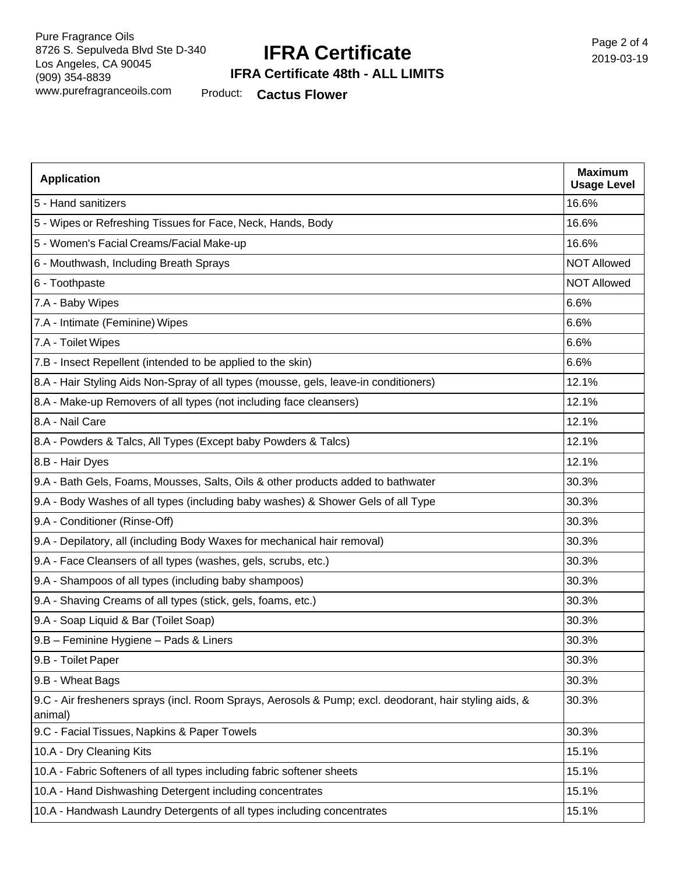### **IFRA Certificate**

Page 2 of 4 2019-03-19

#### **IFRA Certificate 48th - ALL LIMITS**

Product: **Cactus Flower**

| <b>Application</b>                                                                                                | <b>Maximum</b><br><b>Usage Level</b> |
|-------------------------------------------------------------------------------------------------------------------|--------------------------------------|
| 5 - Hand sanitizers                                                                                               | 16.6%                                |
| 5 - Wipes or Refreshing Tissues for Face, Neck, Hands, Body                                                       | 16.6%                                |
| 5 - Women's Facial Creams/Facial Make-up                                                                          | 16.6%                                |
| 6 - Mouthwash, Including Breath Sprays                                                                            | <b>NOT Allowed</b>                   |
| 6 - Toothpaste                                                                                                    | <b>NOT Allowed</b>                   |
| 7.A - Baby Wipes                                                                                                  | 6.6%                                 |
| 7.A - Intimate (Feminine) Wipes                                                                                   | 6.6%                                 |
| 7.A - Toilet Wipes                                                                                                | 6.6%                                 |
| 7.B - Insect Repellent (intended to be applied to the skin)                                                       | 6.6%                                 |
| 8.A - Hair Styling Aids Non-Spray of all types (mousse, gels, leave-in conditioners)                              | 12.1%                                |
| 8.A - Make-up Removers of all types (not including face cleansers)                                                | 12.1%                                |
| 8.A - Nail Care                                                                                                   | 12.1%                                |
| 8.A - Powders & Talcs, All Types (Except baby Powders & Talcs)                                                    | 12.1%                                |
| 8.B - Hair Dyes                                                                                                   | 12.1%                                |
| 9.A - Bath Gels, Foams, Mousses, Salts, Oils & other products added to bathwater                                  | 30.3%                                |
| 9.A - Body Washes of all types (including baby washes) & Shower Gels of all Type                                  | 30.3%                                |
| 9.A - Conditioner (Rinse-Off)                                                                                     | 30.3%                                |
| 9.A - Depilatory, all (including Body Waxes for mechanical hair removal)                                          | 30.3%                                |
| 9.A - Face Cleansers of all types (washes, gels, scrubs, etc.)                                                    | 30.3%                                |
| 9.A - Shampoos of all types (including baby shampoos)                                                             | 30.3%                                |
| 9.A - Shaving Creams of all types (stick, gels, foams, etc.)                                                      | 30.3%                                |
| 9.A - Soap Liquid & Bar (Toilet Soap)                                                                             | 30.3%                                |
| 9.B - Feminine Hygiene - Pads & Liners                                                                            | 30.3%                                |
| 9.B - Toilet Paper                                                                                                | 30.3%                                |
| 9.B - Wheat Bags                                                                                                  | 30.3%                                |
| 9.C - Air fresheners sprays (incl. Room Sprays, Aerosols & Pump; excl. deodorant, hair styling aids, &<br>animal) | 30.3%                                |
| 9.C - Facial Tissues, Napkins & Paper Towels                                                                      | 30.3%                                |
| 10.A - Dry Cleaning Kits                                                                                          | 15.1%                                |
| 10.A - Fabric Softeners of all types including fabric softener sheets                                             | 15.1%                                |
| 10.A - Hand Dishwashing Detergent including concentrates                                                          | 15.1%                                |
| 10.A - Handwash Laundry Detergents of all types including concentrates                                            | 15.1%                                |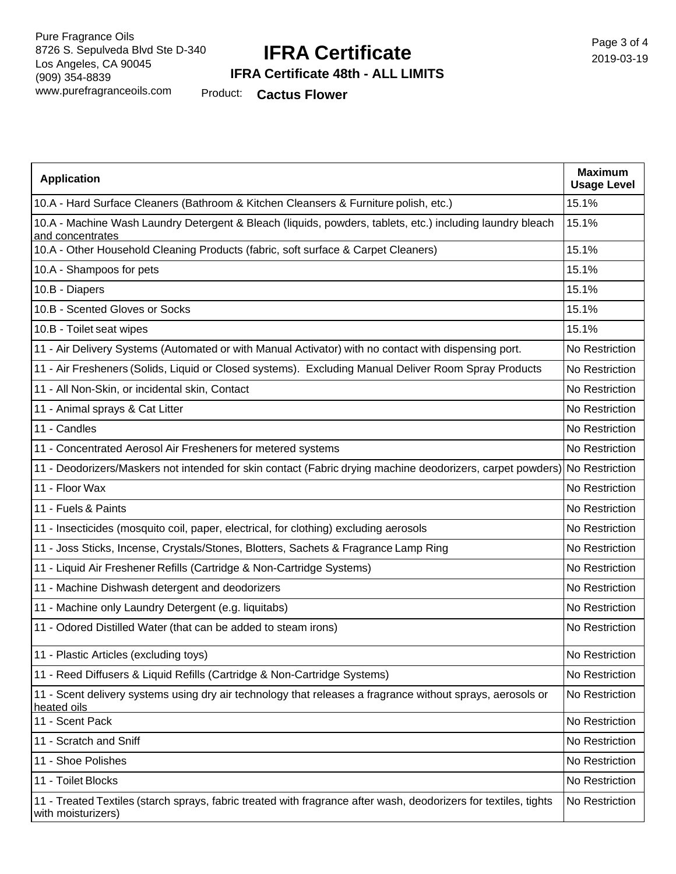## **IFRA Certificate**

### **IFRA Certificate 48th - ALL LIMITS**

Product: **Cactus Flower**

| <b>Application</b>                                                                                                                     | <b>Maximum</b><br><b>Usage Level</b> |
|----------------------------------------------------------------------------------------------------------------------------------------|--------------------------------------|
| 10.A - Hard Surface Cleaners (Bathroom & Kitchen Cleansers & Furniture polish, etc.)                                                   | 15.1%                                |
| 10.A - Machine Wash Laundry Detergent & Bleach (liquids, powders, tablets, etc.) including laundry bleach<br>and concentrates          | 15.1%                                |
| 10.A - Other Household Cleaning Products (fabric, soft surface & Carpet Cleaners)                                                      | 15.1%                                |
| 10.A - Shampoos for pets                                                                                                               | 15.1%                                |
| 10.B - Diapers                                                                                                                         | 15.1%                                |
| 10.B - Scented Gloves or Socks                                                                                                         | 15.1%                                |
| 10.B - Toilet seat wipes                                                                                                               | 15.1%                                |
| 11 - Air Delivery Systems (Automated or with Manual Activator) with no contact with dispensing port.                                   | No Restriction                       |
| 11 - Air Fresheners (Solids, Liquid or Closed systems). Excluding Manual Deliver Room Spray Products                                   | No Restriction                       |
| 11 - All Non-Skin, or incidental skin, Contact                                                                                         | No Restriction                       |
| 11 - Animal sprays & Cat Litter                                                                                                        | No Restriction                       |
| 11 - Candles                                                                                                                           | No Restriction                       |
| 11 - Concentrated Aerosol Air Fresheners for metered systems                                                                           | No Restriction                       |
| 11 - Deodorizers/Maskers not intended for skin contact (Fabric drying machine deodorizers, carpet powders) No Restriction              |                                      |
| 11 - Floor Wax                                                                                                                         | No Restriction                       |
| 11 - Fuels & Paints                                                                                                                    | No Restriction                       |
| 11 - Insecticides (mosquito coil, paper, electrical, for clothing) excluding aerosols                                                  | No Restriction                       |
| 11 - Joss Sticks, Incense, Crystals/Stones, Blotters, Sachets & Fragrance Lamp Ring                                                    | No Restriction                       |
| 11 - Liquid Air Freshener Refills (Cartridge & Non-Cartridge Systems)                                                                  | No Restriction                       |
| 11 - Machine Dishwash detergent and deodorizers                                                                                        | No Restriction                       |
| 11 - Machine only Laundry Detergent (e.g. liquitabs)                                                                                   | No Restriction                       |
| 11 - Odored Distilled Water (that can be added to steam irons)                                                                         | No Restriction                       |
| 11 - Plastic Articles (excluding toys)                                                                                                 | No Restriction                       |
| 11 - Reed Diffusers & Liquid Refills (Cartridge & Non-Cartridge Systems)                                                               | No Restriction                       |
| 11 - Scent delivery systems using dry air technology that releases a fragrance without sprays, aerosols or<br>heated oils              | No Restriction                       |
| 11 - Scent Pack                                                                                                                        | No Restriction                       |
| 11 - Scratch and Sniff                                                                                                                 | No Restriction                       |
| 11 - Shoe Polishes                                                                                                                     | No Restriction                       |
| 11 - Toilet Blocks                                                                                                                     | No Restriction                       |
| 11 - Treated Textiles (starch sprays, fabric treated with fragrance after wash, deodorizers for textiles, tights<br>with moisturizers) | No Restriction                       |